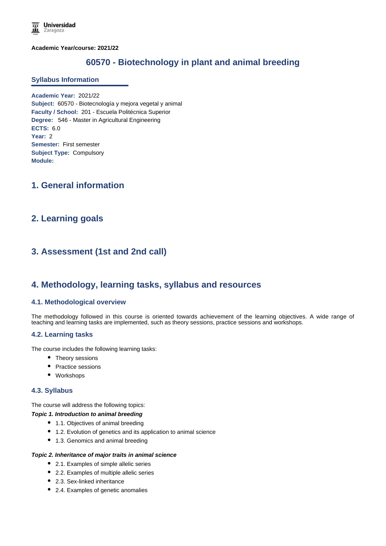**Academic Year/course: 2021/22**

# **60570 - Biotechnology in plant and animal breeding**

#### **Syllabus Information**

**Academic Year:** 2021/22 **Subject:** 60570 - Biotecnología y mejora vegetal y animal **Faculty / School:** 201 - Escuela Politécnica Superior **Degree:** 546 - Master in Agricultural Engineering **ECTS:** 6.0 **Year:** 2 **Semester:** First semester **Subject Type:** Compulsory **Module:**

## **1. General information**

## **2. Learning goals**

# **3. Assessment (1st and 2nd call)**

## **4. Methodology, learning tasks, syllabus and resources**

#### **4.1. Methodological overview**

The methodology followed in this course is oriented towards achievement of the learning objectives. A wide range of teaching and learning tasks are implemented, such as theory sessions, practice sessions and workshops.

#### **4.2. Learning tasks**

The course includes the following learning tasks:

- Theory sessions
- Practice sessions
- Workshops

### **4.3. Syllabus**

The course will address the following topics:

#### *Topic 1. Introduction to animal breeding*

- 1.1. Objectives of animal breeding
- 1.2. Evolution of genetics and its application to animal science
- 1.3. Genomics and animal breeding

#### *Topic 2. Inheritance of major traits in animal science*

- 2.1. Examples of simple allelic series
- 2.2. Examples of multiple allelic series
- 2.3. Sex-linked inheritance
- 2.4. Examples of genetic anomalies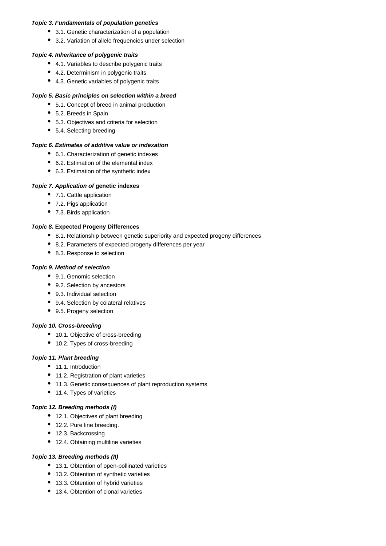#### *Topic 3. Fundamentals of population genetics*

- 3.1. Genetic characterization of a population
- 3.2. Variation of allele frequencies under selection

### *Topic 4. Inheritance of polygenic traits*

- 4.1. Variables to describe polygenic traits
- 4.2. Determinism in polygenic traits
- 4.3. Genetic variables of polygenic traits

### *Topic 5. Basic principles on selection within a breed*

- 5.1. Concept of breed in animal production
- 5.2. Breeds in Spain
- 5.3. Objectives and criteria for selection
- 5.4. Selecting breeding

## *Topic 6. Estimates of additive value or indexation*

- 6.1. Characterization of genetic indexes
- 6.2. Estimation of the elemental index
- 6.3. Estimation of the synthetic index

### *Topic 7. Application of* **genetic indexes**

- 7.1. Cattle application
- 7.2. Pigs application
- 7.3. Birds application

### *Topic 8.* **Expected Progeny Differences**

- 8.1. Relationship between genetic superiority and expected progeny differences
- 8.2. Parameters of expected progeny differences per year
- 8.3. Response to selection

### *Topic 9. Method of selection*

- 9.1. Genomic selection
- 9.2. Selection by ancestors
- 9.3. Individual selection
- 9.4. Selection by colateral relatives
- 9.5. Progeny selection

#### *Topic 10. Cross-breeding*

- 10.1. Objective of cross-breeding
- 10.2. Types of cross-breeding

## *Topic 11. Plant breeding*

- 11.1. Introduction
- 11.2. Registration of plant varieties
- 11.3. Genetic consequences of plant reproduction systems
- 11.4. Types of varieties

#### *Topic 12. Breeding methods (I)*

- 12.1. Objectives of plant breeding
- 12.2. Pure line breeding.
- 12.3. Backcrossing
- 12.4. Obtaining multiline varieties

## *Topic 13. Breeding methods (II)*

- 13.1. Obtention of open-pollinated varieties
- 13.2. Obtention of synthetic varieties
- 13.3. Obtention of hybrid varieties
- 13.4. Obtention of clonal varieties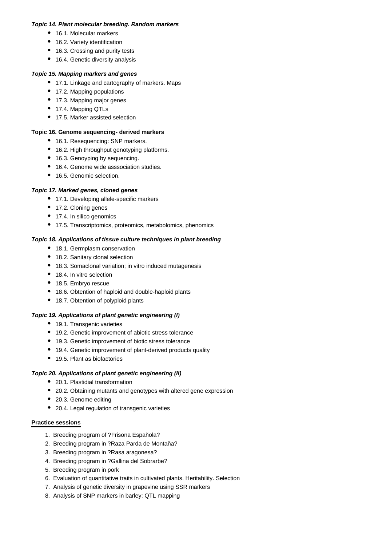#### *Topic 14. Plant molecular breeding. Random markers*

- 16.1. Molecular markers
- 16.2. Variety identification
- 16.3. Crossing and purity tests
- 16.4. Genetic diversity analysis

### *Topic 15. Mapping markers and genes*

- 17.1. Linkage and cartography of markers. Maps
- 17.2. Mapping populations
- 17.3. Mapping major genes
- 17.4. Mapping QTLs
- 17.5. Marker assisted selection

#### **Topic 16. Genome sequencing- derived markers**

- 16.1. Resequencing: SNP markers.
- 16.2. High throughput genotyping platforms.
- 16.3. Genoyping by sequencing.
- 16.4. Genome wide asssociation studies.
- 16.5. Genomic selection.

### *Topic 17. Marked genes, cloned genes*

- 17.1. Developing allele-specific markers
- 17.2. Cloning genes
- 17.4. In silico genomics
- 17.5. Transcriptomics, proteomics, metabolomics, phenomics

#### *Topic 18. Applications of tissue culture techniques in plant breeding*

- 18.1. Germplasm conservation
- 18.2. Sanitary clonal selection
- 18.3. Somaclonal variation; in vitro induced mutagenesis
- 18.4. In vitro selection
- 18.5. Embryo rescue
- 18.6. Obtention of haploid and double-haploid plants
- 18.7. Obtention of polyploid plants

#### *Topic 19. Applications of plant genetic engineering (I)*

- 19.1. Transgenic varieties
- 19.2. Genetic improvement of abiotic stress tolerance
- 19.3. Genetic improvement of biotic stress tolerance
- 19.4. Genetic improvement of plant-derived products quality
- 19.5. Plant as biofactories

## *Topic 20. Applications of plant genetic engineering (II)*

- 20.1. Plastidial transformation
- 20.2. Obtaining mutants and genotypes with altered gene expression
- 20.3. Genome editing
- 20.4. Legal regulation of transgenic varieties

#### **Practice sessions**

- 1. Breeding program of ?Frisona Española?
- 2. Breeding program in ?Raza Parda de Montaña?
- 3. Breeding program in ?Rasa aragonesa?
- 4. Breeding program in ?Gallina del Sobrarbe?
- 5. Breeding program in pork
- 6. Evaluation of quantitative traits in cultivated plants. Heritability. Selection
- 7. Analysis of genetic diversity in grapevine using SSR markers
- 8. Analysis of SNP markers in barley: QTL mapping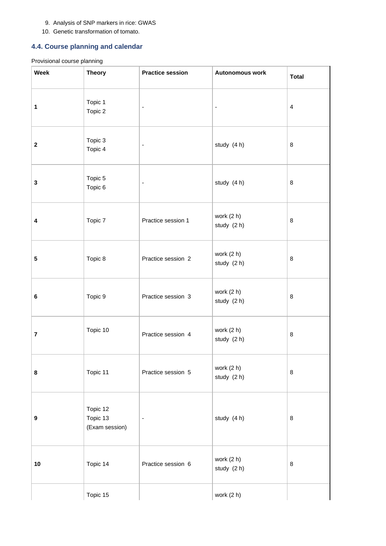#### 9. Analysis of SNP markers in rice: GWAS

10. Genetic transformation of tomato.

## **4.4. Course planning and calendar**

## Provisional course planning

| <b>Week</b>    | <b>Theory</b>                          | <b>Practice session</b>      | Autonomous work           | <b>Total</b>            |
|----------------|----------------------------------------|------------------------------|---------------------------|-------------------------|
| 1              | Topic 1<br>Topic 2                     | $\blacksquare$               | $\overline{\phantom{a}}$  | $\overline{\mathbf{4}}$ |
| $\mathbf 2$    | Topic 3<br>Topic 4                     | $\qquad \qquad \blacksquare$ | study (4 h)               | 8                       |
| ${\bf 3}$      | Topic 5<br>Topic 6                     | $\qquad \qquad \blacksquare$ | study (4 h)               | 8                       |
| 4              | Topic 7                                | Practice session 1           | work (2 h)<br>study (2 h) | 8                       |
| ${\bf 5}$      | Topic 8                                | Practice session 2           | work (2 h)<br>study (2 h) | $\bf8$                  |
| 6              | Topic 9                                | Practice session 3           | work (2 h)<br>study (2 h) | 8                       |
| $\overline{7}$ | Topic 10                               | Practice session 4           | work (2 h)<br>study (2 h) | 8                       |
| 8              | Topic 11                               | Practice session 5           | work (2 h)<br>study (2 h) | $\bf8$                  |
| 9              | Topic 12<br>Topic 13<br>(Exam session) | $\blacksquare$               | study (4 h)               | 8                       |
| $10$           | Topic 14                               | Practice session 6           | work (2 h)<br>study (2 h) | $\bf8$                  |
|                | Topic 15                               |                              | work (2 h)                |                         |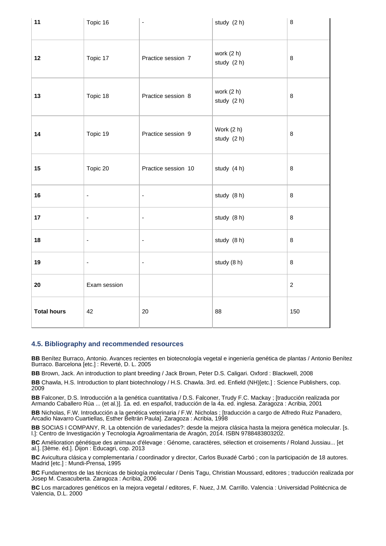| 11                 | Topic 16                 | $\blacksquare$           | study (2 h)               | 8          |
|--------------------|--------------------------|--------------------------|---------------------------|------------|
| 12                 | Topic 17                 | Practice session 7       | work (2 h)<br>study (2 h) | 8          |
| 13                 | Topic 18                 | Practice session 8       | work (2 h)<br>study (2 h) | 8          |
| 14                 | Topic 19                 | Practice session 9       | Work (2 h)<br>study (2 h) | $\, 8$     |
| 15                 | Topic 20                 | Practice session 10      | study (4 h)               | 8          |
| 16                 | $\blacksquare$           | $\blacksquare$           | study (8 h)               | 8          |
| 17                 | $\blacksquare$           | $\blacksquare$           | study (8 h)               | $\bf 8$    |
| 18                 | $\blacksquare$           | $\blacksquare$           | study (8 h)               | $\bf 8$    |
| 19                 | $\overline{\phantom{a}}$ | $\overline{\phantom{a}}$ | study (8 h)               | $\bf 8$    |
| 20                 | Exam session             |                          |                           | $\sqrt{2}$ |
| <b>Total hours</b> | 42                       | 20                       | 88                        | 150        |

#### **4.5. Bibliography and recommended resources**

**BB** Benítez Burraco, Antonio. Avances recientes en biotecnología vegetal e ingeniería genética de plantas / Antonio Benítez Burraco. Barcelona [etc.] : Reverté, D. L. 2005

**BB** Brown, Jack. An introduction to plant breeding / Jack Brown, Peter D.S. Caligari. Oxford : Blackwell, 2008

**BB** Chawla, H.S. Introduction to plant biotechnology / H.S. Chawla. 3rd. ed. Enfield (NH)[etc.] : Science Publishers, cop. 2009

**BB** Falconer, D.S. Introducción a la genética cuantitativa / D.S. Falconer, Trudy F.C. Mackay ; [traducción realizada por Armando Caballero Rúa ... (et al.)]. 1a. ed. en español, traducción de la 4a. ed. inglesa. Zaragoza : Acribia, 2001

**BB** Nicholas, F.W. Introducción a la genética veterinaria / F.W. Nicholas ; [traducción a cargo de Alfredo Ruiz Panadero, Arcadio Navarro Cuartiellas, Esther Beltrán Paula]. Zaragoza : Acribia, 1998

**BB** SOCIAS I COMPANY, R. La obtención de variedades?: desde la mejora clásica hasta la mejora genética molecular. [s. l.]: Centro de Investigación y Tecnología Agroalimentaria de Aragón, 2014. ISBN 9788483803202.

**BC** Amélioration génétique des animaux d'élevage : Génome, caractères, sélection et croisements / Roland Jussiau... [et al.]. [3ème. éd.]. Dijon : Educagri, cop. 2013

**BC** Avicultura clásica y complementaria / coordinador y director, Carlos Buxadé Carbó ; con la participación de 18 autores. Madrid [etc.] : Mundi-Prensa, 1995

**BC** Fundamentos de las técnicas de biología molecular / Denis Tagu, Christian Moussard, editores ; traducción realizada por Josep M. Casacuberta. Zaragoza : Acribia, 2006

**BC** Los marcadores genéticos en la mejora vegetal / editores, F. Nuez, J.M. Carrillo. Valencia : Universidad Politécnica de Valencia, D.L. 2000